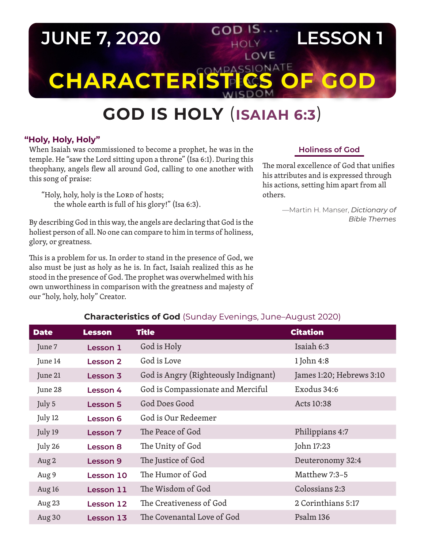# **JUNE 7, 2020 COD IS. LESSON 1** LOVE **CHARACTERISTICS C**

## **GOD IS HOLY** (**ISAIAH 6:3**)

#### **"Holy, Holy, Holy"**

When Isaiah was commissioned to become a prophet, he was in the temple. He "saw the Lord sitting upon a throne" (Isa 6:1). During this theophany, angels flew all around God, calling to one another with this song of praise:

"Holy, holy, holy is the LORD of hosts; the whole earth is full of his glory!" (Isa 6:3).

By describing God in this way, the angels are declaring that God is the holiest person of all. No one can compare to him in terms of holiness, glory, or greatness.

This is a problem for us. In order to stand in the presence of God, we also must be just as holy as he is. In fact, Isaiah realized this as he stood in the presence of God. The prophet was overwhelmed with his own unworthiness in comparison with the greatness and majesty of our "holy, holy, holy" Creator.

#### **Holiness of God**

The moral excellence of God that unifies his attributes and is expressed through his actions, setting him apart from all others.

> —Martin H. Manser, *Dictionary of Bible Themes*

| <b>Characteristics of God</b> fouriday Everings, June Adgust 2020) |                 |                                      |                          |
|--------------------------------------------------------------------|-----------------|--------------------------------------|--------------------------|
| <b>Date</b>                                                        | <b>Lesson</b>   | <b>Title</b>                         | <b>Citation</b>          |
| June 7                                                             | Lesson 1        | God is Holy                          | Isaiah 6:3               |
| June 14                                                            | Lesson 2        | God is Love                          | 1 John 4:8               |
| June 21                                                            | Lesson 3        | God is Angry (Righteously Indignant) | James 1:20; Hebrews 3:10 |
| June 28                                                            | Lesson 4        | God is Compassionate and Merciful    | Exodus 34:6              |
| July 5                                                             | <b>Lesson 5</b> | God Does Good                        | Acts 10:38               |
| July 12                                                            | Lesson 6        | God is Our Redeemer                  |                          |
| July 19                                                            | Lesson 7        | The Peace of God                     | Philippians 4:7          |
| July 26                                                            | <b>Lesson 8</b> | The Unity of God                     | John 17:23               |
| Aug 2                                                              | Lesson 9        | The Justice of God                   | Deuteronomy 32:4         |
| Aug 9                                                              | Lesson 10       | The Humor of God                     | Matthew 7:3-5            |
| Aug 16                                                             | Lesson 11       | The Wisdom of God                    | Colossians 2:3           |
| Aug 23                                                             | Lesson 12       | The Creativeness of God              | 2 Corinthians 5:17       |
| Aug 30                                                             | Lesson 13       | The Covenantal Love of God           | Psalm 136                |

### **Characteristics of God** (Sunday Evenings, June–August 2020)